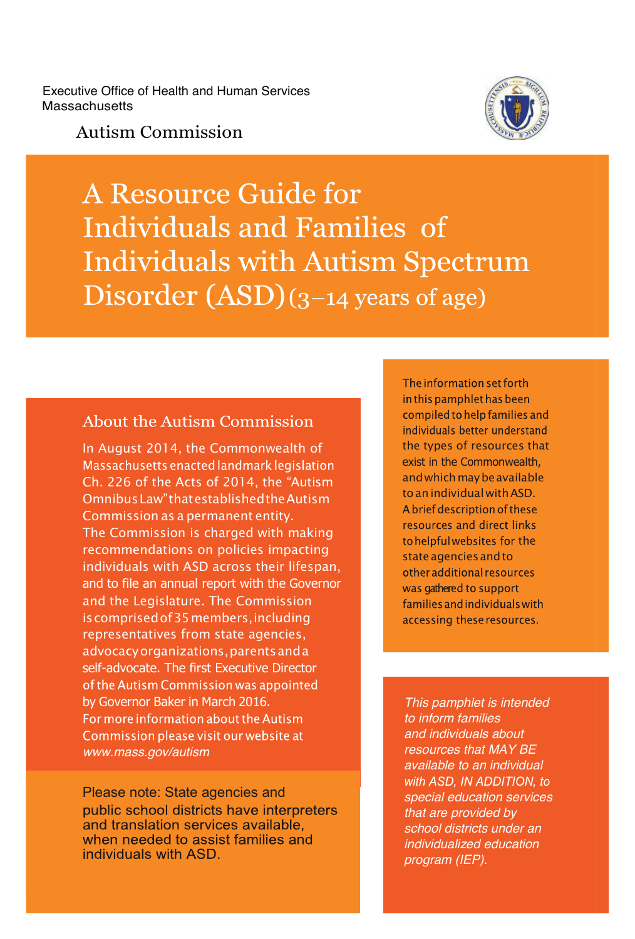Executive Office of Health and Human Services **Massachusetts** 

#### Autism Commission

Autism Commission



**A Resource Guide for** Individuals and Families of **Individuals with Autism Spectrum** Disorder  $(ASD)(3-14$  years of age)

#### About the Autism Commission

In August 2014, the Commonwealth of Massachusetts enacted landmark legislation Ch. 226 of the Acts of 2014, the "Autism Omnibus Law" that established the Autism Commission as a permanent entity. The Commission is charged with making recommendations on policies impacting individuals with ASD across their lifespan, and to file an annual report with the Governor and the Legislature. The Commission is comprised of 35 members, including representatives from state agencies, advocacy organizations, parents and a self-advocate. The first Executive Director of the Autism Commission was appointed by Governor Baker in March 2016. For more information about the Autism Commission please visit our website at *www.mass.gov/autism*

Please note: State agencies and public school districts have interpreters and translation services available. when needed to assist families and individuals with ASD.

The information set forth in this pamphlet has been compiled to help families and individuals better understand the types of resources that exist in the Commonwealth, and which may be available to an individual with ASD. A brief description of these resources and direct links to helpful websites for the state agencies and to other additional resources was gathered to support families and individuals with accessing these resources.

*This pamphlet is intended to inform families and individuals about resources that MAY BE available to an individual*  with ASD. IN ADDITION, to *special education services that are provided by school districts under an individualized education program (IEP).*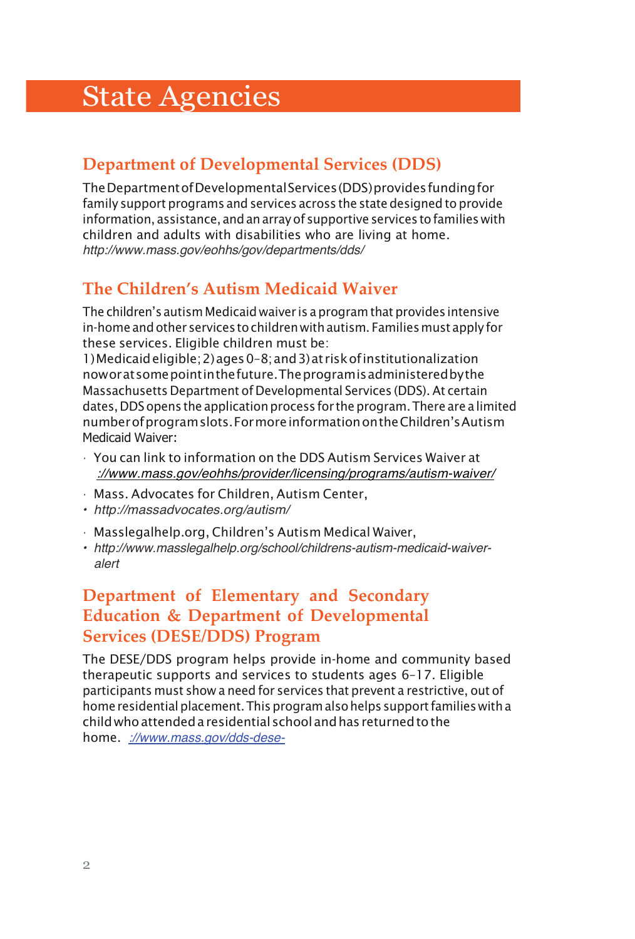# State Agencies

### **Department of Developmental Services (DDS)**

The Department of Developmental Services (DDS) provides funding for family support programs and services across the state designed to provide information, assistance, and an array of supportive services to families with children and adults with disabilities who are living at home. *http://www.mass.gov/eohhs/gov/departments/dds/*

# **The Children's Autism Medicaid Waiver**

The children's autism Medicaid waiver is a program that provides intensive in-home and other services to children with autism. Families must apply for these services. Eligible children must be:

1) Medicaid eligible; 2) ages 0–8; and 3) at risk of institutionalization now or at some point in the future. The program is administered by the Massachusetts Department of Developmental Services (DDS). At certain dates, DDS opens the application process for the program. There are a limited number of program slots. For more information on the Children's Autism Medicaid Waiver:

- You can link to information on the DDS Autism Services Waiver at *://www.mass.gov/eohhs/provider/licensing/programs/autism-waiver/*
- Mass. Advocates for Children, Autism Center,
- *• http://massadvocates.org/autism/*
- Masslegalhelp.org, Children's Autism Medical Waiver,
- *• http://www.masslegalhelp.org/school/childrens-autism-medicaid-waiveralert*

#### **Department of Elementary and Secondary Education & Department of Developmental Services (DESE/DDS) Program**

The DESE/DDS program helps provide in-home and community based therapeutic supports and services to students ages 6–17. Eligible participants must show a need for services that prevent a restrictive, out of home residential placement. This program also helps support families with a child who attended a residential school and has returned to the home. *://www.mass.gov/dds-dese-*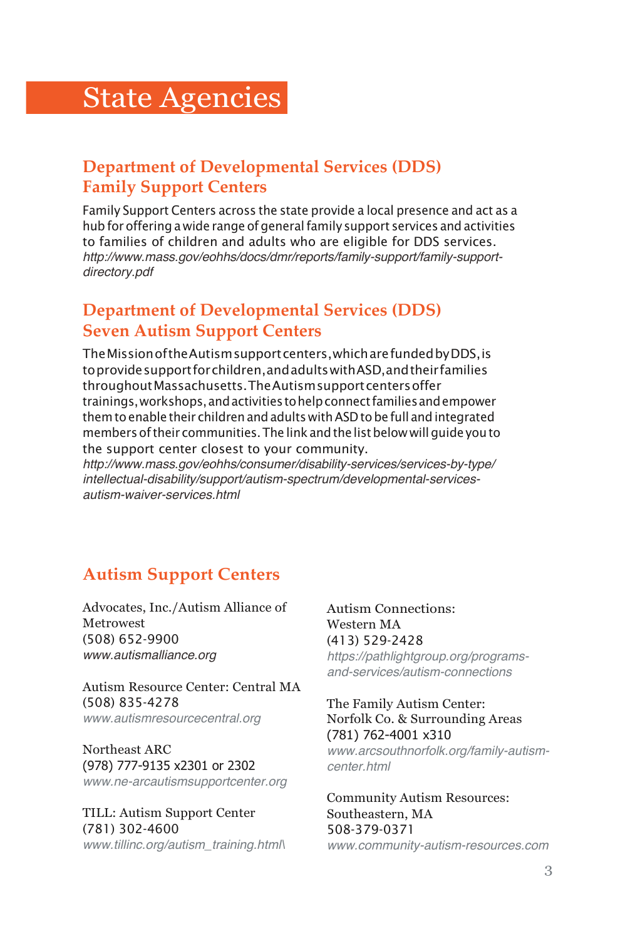# **State Agencies**

### **Department of Developmental Services (DDS) Family Support Centers**

Family Support Centers across the state provide a local presence and act as a hub for offering a wide range of general family support services and activities to families of children and adults who are eligible for DDS services. *http://www.mass.gov/eohhs/docs/dmr/reports/family-support/family-supportdirectory.pdf*

#### **Department of Developmental Services (DDS) Seven Autism Support Centers**

The Mission of the Autism support centers, which are funded by DDS, is to provide support for children, and adults with ASD, and their families throughout Massachusetts. The Autism support centers offer trainings, workshops, and activities to help connect families and empower them to enable their children and adults with ASD to be full and integrated members of their communities. The link and the list below will guide you to the support center closest to your community.

*http://www.mass.gov/eohhs/consumer/disability-services/services-by-type/ intellectual-disability/support/autism-spectrum/developmental-servicesautism-waiver-services.html*

#### **Autism Support Centers**

Advocates, Inc./Autism Alliance of Metrowest (508) 652-9900 *www.autismalliance.org*

Autism Resource Center: Central MA (508) 835-4278 *www.autismresourcecentral.org*

Northeast ARC (978) 777-9135 x2301 or 2302 *www.ne-arcautismsupportcenter.org*

TILL: Autism Support Center (781) 302-4600 *www.tillinc.org/autism\_training.html\* Autism Connections: Western MA (413) 529-2428 *https://pathlightgroup.org/programsand-services/autism-connections*

The Family Autism Center: Norfolk Co. & Surrounding Areas (781) 762-4001 x310 *www.arcsouthnorfolk.org/family-autismcenter.html*

Community Autism Resources: Southeastern, MA 508-379-0371 *www.community-autism-resources.com*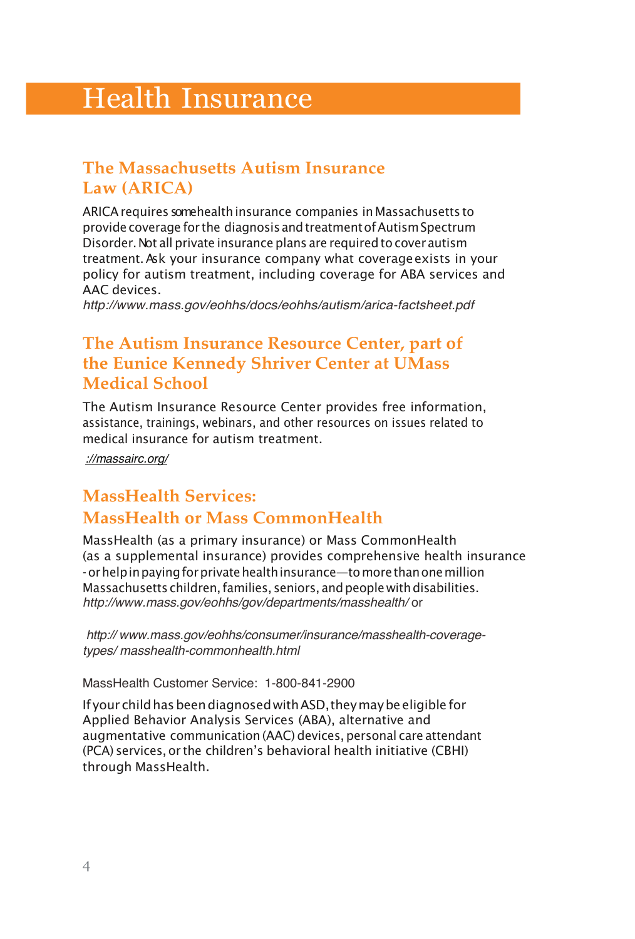# Health Insurance

#### **The Massachusetts Autism Insurance Law (ARICA)**

ARICA requires some health insurance companies in Massachusetts to provide coverage for the diagnosis and treatment of Autism Spectrum Disorder. Not all private insurance plans are required to cover autism treatment. Ask your insurance company what coverage exists in your policy for autism treatment, including coverage for ABA services and AAC devices.

*http://www.mass.gov/eohhs/docs/eohhs/autism/arica-factsheet.pdf*

#### **The Autism Insurance Resource Center, part of the Eunice Kennedy Shriver Center at UMass Medical School**

The Autism Insurance Resource Center provides free information, assistance, trainings, webinars, and other resources on issues related to medical insurance for autism treatment.

*://massairc.org/*

#### **MassHealth Services: MassHealth or Mass CommonHealth**

MassHealth (as a primary insurance) or Mass CommonHealth (as a supplemental insurance) provides comprehensive health insurance - or help in paying for private health insurance—to more than one million Massachusetts children, families, seniors, and people with disabilities. *http://www.mass.gov/eohhs/gov/departments/masshealth/* or

*http:// www.mass.gov/eohhs/consumer/insurance/masshealth-coveragetypes/ masshealth-commonhealth.html*

MassHealth Customer Service: 1-800-841-2900

If your child has been diagnosed with ASD, they may be eligible for Applied Behavior Analysis Services (ABA), alternative and augmentative communication (AAC) devices, personal care attendant (PCA) services, or the children's behavioral health initiative (CBHI) through MassHealth.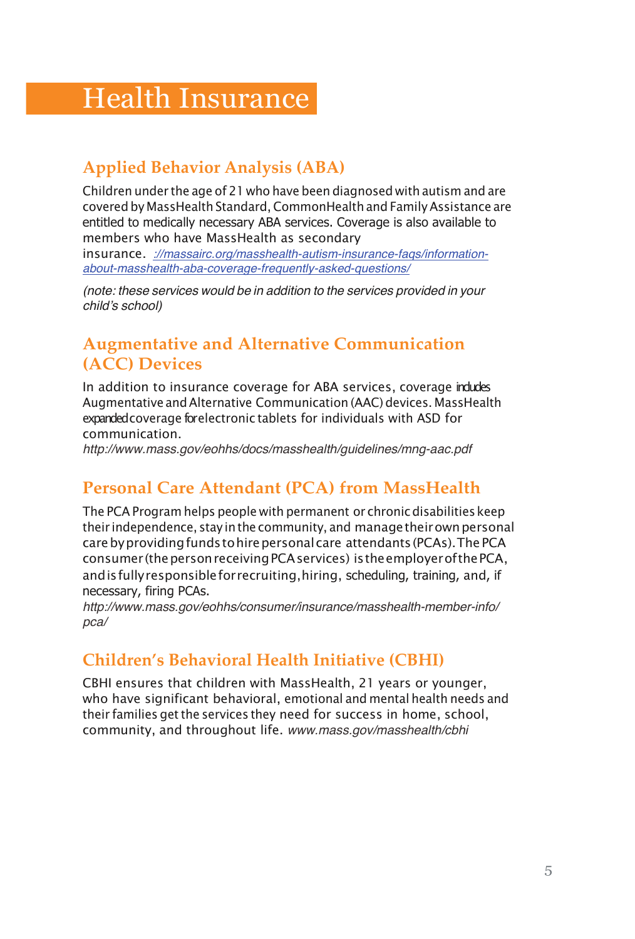# Health Insurance

# **Applied Behavior Analysis (ABA)**

Children under the age of 21 who have been diagnosed with autism and are covered by MassHealth Standard, CommonHealth and Family Assistance are entitled to medically necessary ABA services. Coverage is also available to members who have MassHealth as secondary insurance. *://massairc.org/masshealth-autism-insurance-faqs/informationabout-masshealth-aba-coverage-frequently-asked-questions/*

*(note: these services would be in addition to the services provided in your child*'*s school)*

# **Augmentative and Alternative Communication (ACC) Devices**

In addition to insurance coverage for ABA services, coverage indudes Augmentative and Alternative Communication (AAC) devices. MassHealth expanded coverage for electronic tablets for individuals with ASD for communication.

*http://www.mass.gov/eohhs/docs/masshealth/guidelines/mng-aac.pdf*

# **Personal Care Attendant (PCA) from MassHealth**

The PCA Program helps people with permanent or chronic disabilities keep their independence, stay in the community, and manage their own personal care by providing funds to hire personal care attendants (PCAs). The PCA consumer (the person receiving PCA services) is the employer of the PCA, and is fully responsible for recruiting, hiring, scheduling, training, and, if necessary, firing PCAs.

*http://www.mass.gov/eohhs/consumer/insurance/masshealth-member-info/ pca/*

# **Children's Behavioral Health Initiative (CBHI)**

CBHI ensures that children with MassHealth, 21 years or younger, who have significant behavioral, emotional and mental health needs and their families get the services they need for success in home, school, community, and throughout life. *www.mass.gov/masshealth/cbhi*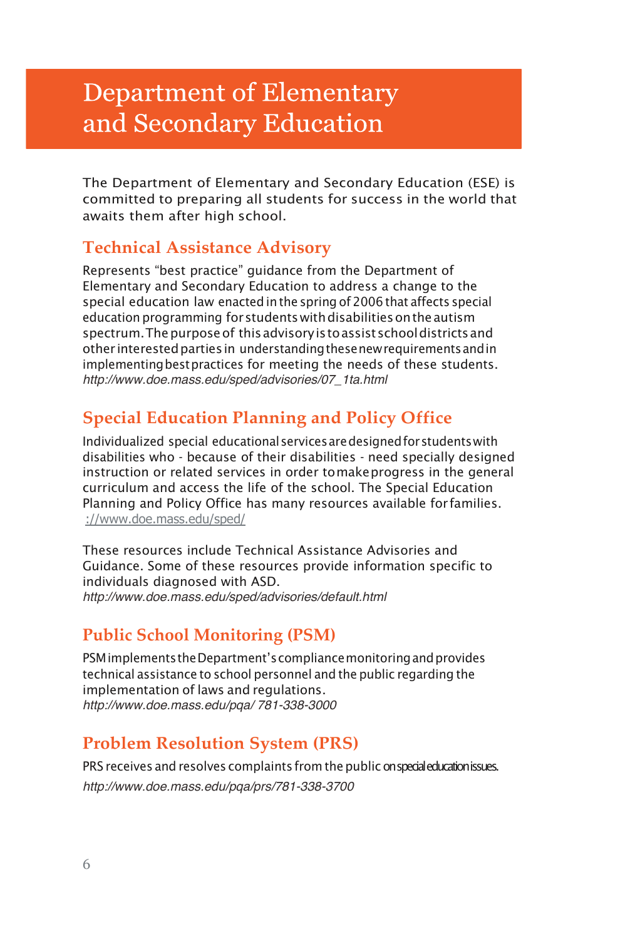# **Department of Elementary** and Secondary Education

The Department of Elementary and Secondary Education (ESE) is committed to preparing all students for success in the world that awaits them after high school.

#### **Technical Assistance Advisory**

Represents "best practice" guidance from the Department of Elementary and Secondary Education to address a change to the special education law enacted in the spring of 2006 that affects special education programming for students with disabilities on the autism spectrum. The purpose of this advisory is to assist school districts and other interested parties in understanding these new requirements and in implementing best practices for meeting the needs of these students. *http://www.doe.mass.edu/sped/advisories/07\_1ta.html*

# **Special Education Planning and Policy Office**

Individualized special educational services are designed for students with disabilities who - because of their disabilities - need specially designed instruction or related services in order to make progress in the general curriculum and access the life of the school. The Special Education Planning and Policy Office has many resources available for families. ://www.doe.mass.edu/sped/

These resources include Technical Assistance Advisories and Guidance. Some of these resources provide information specific to individuals diagnosed with ASD. *http://www.doe.mass.edu/sped/advisories/default.html*

#### **Public School Monitoring (PSM)**

PSM implements the Department's compliance monitoring and provides technical assistance to school personnel and the public regarding the implementation of laws and regulations. *http://www.doe.mass.edu/pqa/ 781-338-3000*

# **Problem Resolution System (PRS)**

PRS receives and resolves complaints from the public on special education issues. *http://www.doe.mass.edu/pqa/prs/781-338-3700*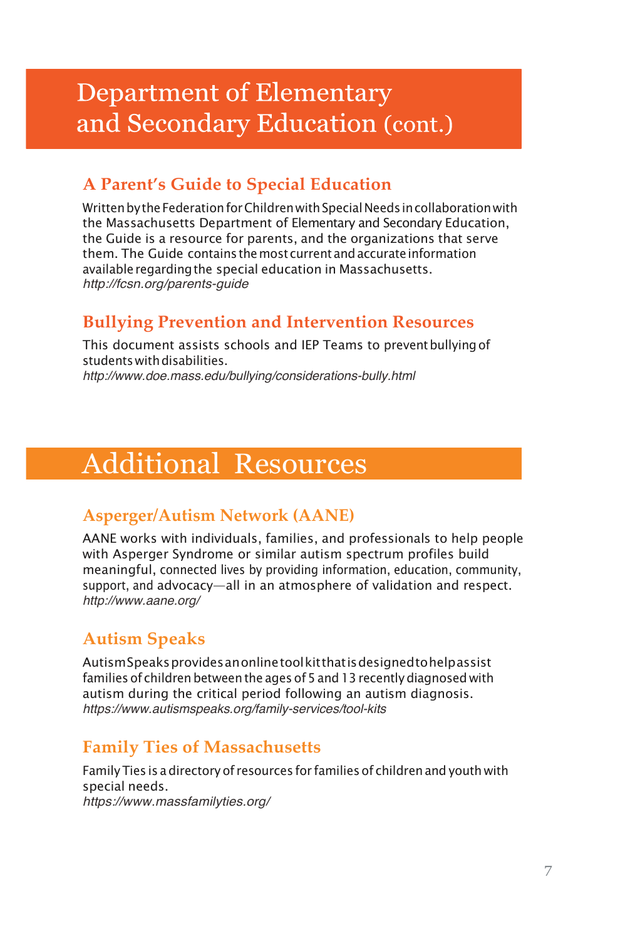# **Department of Elementary** and Secondary Education (cont.)

# **A Parent's Guide to Special Education**

Written by the Federation for Children with Special Needs in collaboration with the Massachusetts Department of Elementary and Secondary Education, the Guide is a resource for parents, and the organizations that serve them. The Guide contains the most current and accurate information available regarding the special education in Massachusetts. *http://fcsn.org/parents-guide*

### **Bullying Prevention and Intervention Resources**

This document assists schools and IEP Teams to prevent bullying of students with disabilities. *http://www.doe.mass.edu/bullying/considerations-bully.html*

# Additional Resources

#### **Asperger/Autism Network (AANE)**

AANE works with individuals, families, and professionals to help people with Asperger Syndrome or similar autism spectrum profiles build meaningful, connected lives by providing information, education, community, support, and advocacy—all in an atmosphere of validation and respect. *http://www.aane.org/*

# **Autism Speaks**

Autism Speaks provides an online tool kit that is designed to help assist families of children between the ages of 5 and 13 recently diagnosed with autism during the critical period following an autism diagnosis. *https://www.autismspeaks.org/family-services/tool-kits*

# **Family Ties of Massachusetts**

Family Ties is a directory of resources for families of children and youth with special needs. *https://www.massfamilyties.org/*